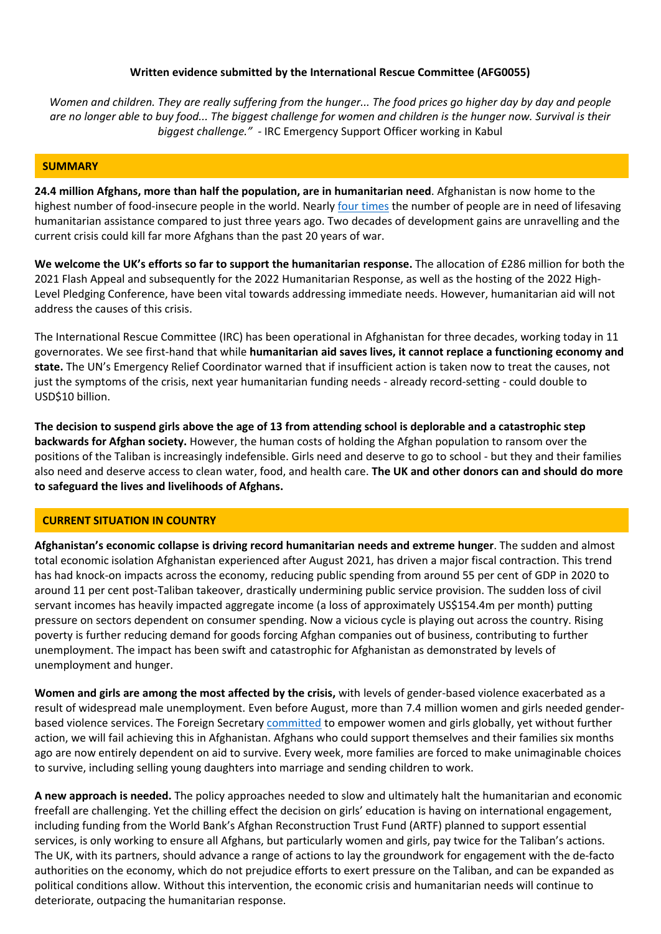# **Written evidence submitted by the International Rescue Committee (AFG0055)**

Women and children. They are really suffering from the hunger... The food prices go higher day by day and people are no longer able to buy food... The biggest challenge for women and children is the hunger now. Survival is their *biggest challenge." -* IRC Emergency Support Officer working in Kabul

### **SUMMARY**

**24.4 million Afghans, more than half the population, are in humanitarian need**. Afghanistan is now home to the highest number of food-insecure people in the world. Nearly four times the number of people are in need of lifesaving humanitarian assistance compared to just three years ago. Two decades of development gains are unravelling and the current crisis could kill far more Afghans than the past 20 years of war.

**We welcome the UK's efforts so far to support the humanitarian response.** The allocation of £286 million for both the 2021 Flash Appeal and subsequently for the 2022 Humanitarian Response, as well as the hosting of the 2022 High-Level Pledging Conference, have been vital towards addressing immediate needs. However, humanitarian aid will not address the causes of this crisis.

The International Rescue Committee (IRC) has been operational in Afghanistan for three decades, working today in 11 governorates. We see first-hand that while **humanitarian aid saves lives, it cannot replace a functioning economy and state.** The UN's Emergency Relief Coordinator warned that if insufficient action is taken now to treat the causes, not just the symptoms of the crisis, next year humanitarian funding needs - already record-setting - could double to USD\$10 billion.

The decision to suspend girls above the age of 13 from attending school is deplorable and a catastrophic step **backwards for Afghan society.** However, the human costs of holding the Afghan population to ransom over the positions of the Taliban is increasingly indefensible. Girls need and deserve to go to school - but they and their families also need and deserve access to clean water, food, and health care. **The UK and other donors can and should do more to safeguard the lives and livelihoods of Afghans.**

## **CURRENT SITUATION IN COUNTRY**

**Afghanistan's economic collapse is driving record humanitarian needs and extreme hunger**. The sudden and almost total economic isolation Afghanistan experienced after August 2021, has driven a major fiscal contraction. This trend has had knock-on impacts across the economy, reducing public spending from around 55 per cent of GDP in 2020 to around 11 per cent post-Taliban takeover, drastically undermining public service provision. The sudden loss of civil servant incomes has heavily impacted aggregate income (a loss of approximately US\$154.4m per month) putting pressure on sectors dependent on consumer spending. Now a vicious cycle is playing out across the country. Rising poverty is further reducing demand for goods forcing Afghan companies out of business, contributing to further unemployment. The impact has been swift and catastrophic for Afghanistan as demonstrated by levels of unemployment and hunger.

**Women and girls are among the most affected by the crisis,** with levels of gender-based violence exacerbated as a result of widespread male unemployment. Even before August, more than 7.4 million women and girls needed genderbased violence services. The Foreign Secretary [committed](https://inews.co.uk/opinion/liz-truss-i-want-to-ensure-no-country-can-ever-again-use-sexual-violence-as-a-weapon-of-war-1301907) to empower women and girls globally, yet without further action, we will fail achieving this in Afghanistan. Afghans who could support themselves and their families six months ago are now entirely dependent on aid to survive. Every week, more families are forced to make unimaginable choices to survive, including selling young daughters into marriage and sending children to work.

**A new approach is needed.** The policy approaches needed to slow and ultimately halt the humanitarian and economic freefall are challenging. Yet the chilling effect the decision on girls' education is having on international engagement, including funding from the World Bank's Afghan Reconstruction Trust Fund (ARTF) planned to support essential services, is only working to ensure all Afghans, but particularly women and girls, pay twice for the Taliban's actions. The UK, with its partners, should advance a range of actions to lay the groundwork for engagement with the de-facto authorities on the economy, which do not prejudice efforts to exert pressure on the Taliban, and can be expanded as political conditions allow. Without this intervention, the economic crisis and humanitarian needs will continue to deteriorate, outpacing the humanitarian response.